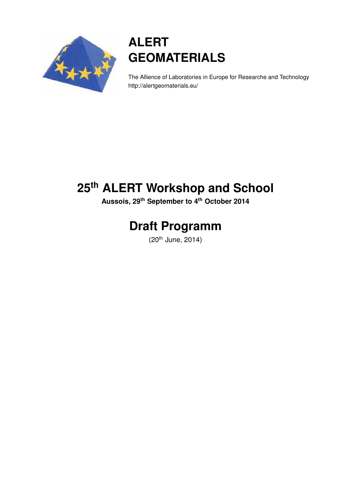

# **ALERT GEOMATERIALS**

The Allience of Laboratories in Europe for Researche and Technology http://alertgeomaterials.eu/

# **25th ALERT Workshop and School**

**Aussois, 29th September to 4th October 2014**

# **Draft Programm**

(20th June, 2014)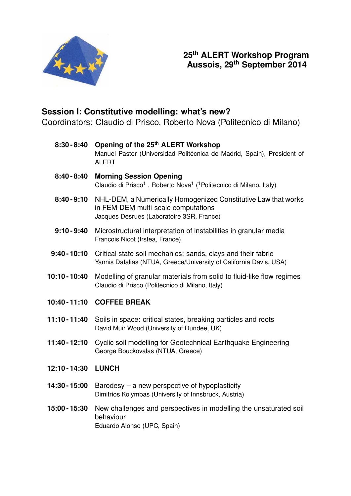

# **25th ALERT Workshop Program Aussois, 29th September 2014**

# **Session I: Constitutive modelling: what's new?**

Coordinators: Claudio di Prisco, Roberto Nova (Politecnico di Milano)

- **8:30 8:40 Opening of the 25th ALERT Workshop** Manuel Pastor (Universidad Politécnica de Madrid, Spain), President of ALERT
- **8:40 8:40 Morning Session Opening** Claudio di Prisco<sup>1</sup>, Roberto Nova<sup>1</sup> (<sup>1</sup> Politecnico di Milano, Italy)
- **8:40 9:10** NHL-DEM, a Numerically Homogenized Constitutive Law that works in FEM-DEM multi-scale computations Jacques Desrues (Laboratoire 3SR, France)
- **9:10 9:40** Microstructural interpretation of instabilities in granular media Francois Nicot (Irstea, France)
- **9:40 10:10** Critical state soil mechanics: sands, clays and their fabric Yannis Dafalias (NTUA, Greece/University of California Davis, USA)
- **10:10 10:40** Modelling of granular materials from solid to fluid-like flow regimes Claudio di Prisco (Politecnico di Milano, Italy)
- **10:40 11:10 COFFEE BREAK**
- **11:10 11:40** Soils in space: critical states, breaking particles and roots David Muir Wood (University of Dundee, UK)
- **11:40 12:10** Cyclic soil modelling for Geotechnical Earthquake Engineering George Bouckovalas (NTUA, Greece)
- **12:10 14:30 LUNCH**
- **14:30 15:00** Barodesy a new perspective of hypoplasticity Dimitrios Kolymbas (University of Innsbruck, Austria)
- **15:00 15:30** New challenges and perspectives in modelling the unsaturated soil behaviour Eduardo Alonso (UPC, Spain)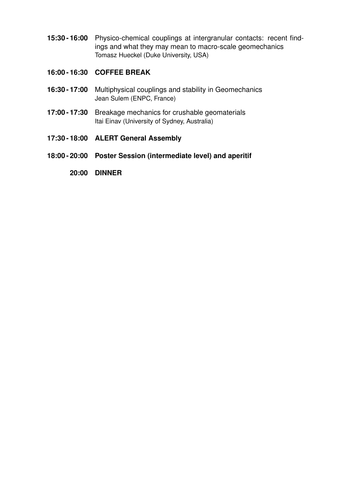- **15:30 16:00** Physico-chemical couplings at intergranular contacts: recent findings and what they may mean to macro-scale geomechanics Tomasz Hueckel (Duke University, USA)
- **16:00 16:30 COFFEE BREAK**
- **16:30 17:00** Multiphysical couplings and stability in Geomechanics Jean Sulem (ENPC, France)
- **17:00 17:30** Breakage mechanics for crushable geomaterials Itai Einav (University of Sydney, Australia)
- **17:30 18:00 ALERT General Assembly**
- **18:00 20:00 Poster Session (intermediate level) and aperitif**
	- **20:00 DINNER**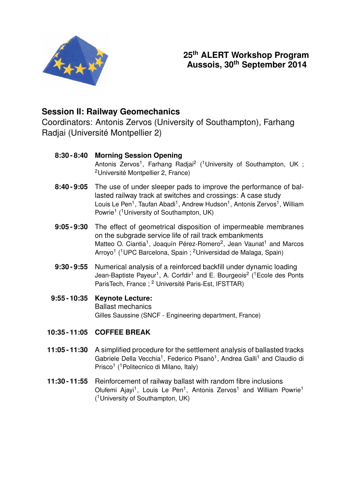

# **Session II: Railway Geomechanics**

Coordinators: Antonis Zervos (University of Southampton), Farhang Radjai (Université Montpellier 2)

| 8:30 - 8:40    | <b>Morning Session Opening</b><br>Antonis Zervos <sup>1</sup> , Farhang Radjai <sup>2</sup> ( <sup>1</sup> University of Southampton, UK;<br><sup>2</sup> Université Montpellier 2, France)                                                                                                                                                           |
|----------------|-------------------------------------------------------------------------------------------------------------------------------------------------------------------------------------------------------------------------------------------------------------------------------------------------------------------------------------------------------|
|                | 8:40 - 9:05 The use of under sleeper pads to improve the performance of bal-<br>lasted railway track at switches and crossings: A case study<br>Louis Le Pen <sup>1</sup> , Taufan Abadi <sup>1</sup> , Andrew Hudson <sup>1</sup> , Antonis Zervos <sup>1</sup> , William<br>Powrie <sup>1</sup> ( <sup>1</sup> University of Southampton, UK)       |
|                | 9:05-9:30 The effect of geometrical disposition of impermeable membranes<br>on the subgrade service life of rail track embankments<br>Matteo O. Ciantia <sup>1</sup> , Joaquín Pérez-Romero <sup>2</sup> , Jean Vaunat <sup>1</sup> and Marcos<br>Arroyo <sup>1</sup> ( <sup>1</sup> UPC Barcelona, Spain; <sup>2</sup> Universidad de Malaga, Spain) |
| $9:30 - 9:55$  | Numerical analysis of a reinforced backfill under dynamic loading<br>Jean-Baptiste Payeur <sup>1</sup> , A. Corfdir <sup>1</sup> and E. Bourgeois <sup>2</sup> ( <sup>1</sup> Ecole des Ponts<br>ParisTech, France ; <sup>2</sup> Université Paris-Est, IFSTTAR)                                                                                      |
| $9:55 - 10:35$ | <b>Keynote Lecture:</b><br><b>Ballast mechanics</b><br>Gilles Saussine (SNCF - Engineering department, France)                                                                                                                                                                                                                                        |
|                | 10:35 - 11:05 COFFEE BREAK                                                                                                                                                                                                                                                                                                                            |
|                | 11:05 - 11:30 A simplified procedure for the settlement analysis of ballasted tracks                                                                                                                                                                                                                                                                  |

- Gabriele Della Vecchia<sup>1</sup>, Federico Pisanò<sup>1</sup>, Andrea Galli<sup>1</sup> and Claudio di Prisco<sup>1</sup> (<sup>1</sup> Politecnico di Milano, Italy)
- **11:30 11:55** Reinforcement of railway ballast with random fibre inclusions Olufemi Ajayi<sup>1</sup>, Louis Le Pen<sup>1</sup>, Antonis Zervos<sup>1</sup> and William Powrie<sup>1</sup> ( <sup>1</sup>University of Southampton, UK)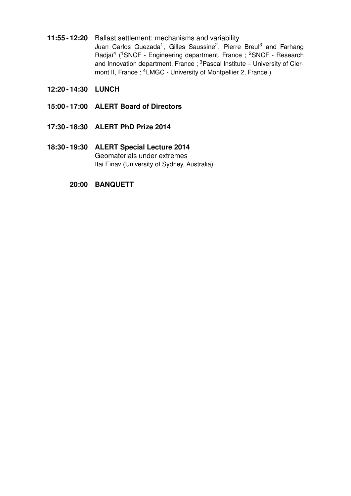- **11:55 12:20** Ballast settlement: mechanisms and variability Juan Carlos Quezada<sup>1</sup>, Gilles Saussine<sup>2</sup>, Pierre Breul<sup>3</sup> and Farhang Radjaï<sup>4</sup> (<sup>1</sup>SNCF - Engineering department, France; <sup>2</sup>SNCF - Research and Innovation department, France ;  $3$  Pascal Institute – University of Clermont II, France; <sup>4</sup>LMGC - University of Montpellier 2, France)
- **12:20 14:30 LUNCH**
- **15:00 17:00 ALERT Board of Directors**
- **17:30 18:30 ALERT PhD Prize 2014**
- **18:30 19:30 ALERT Special Lecture 2014** Geomaterials under extremes Itai Einav (University of Sydney, Australia)
	- **20:00 BANQUETT**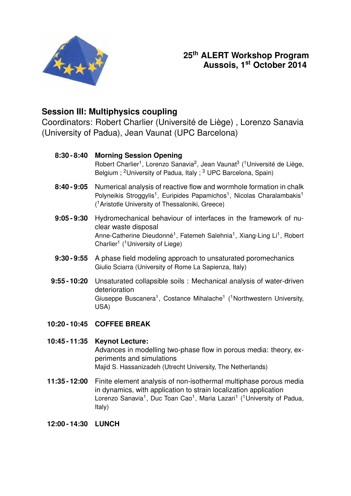

# **25th ALERT Workshop Program Aussois, 1st October 2014**

### **Session III: Multiphysics coupling**

Coordinators: Robert Charlier (Université de Liège) , Lorenzo Sanavia (University of Padua), Jean Vaunat (UPC Barcelona)

| $8:30 - 8:40$ | <b>Morning Session Opening</b><br>Robert Charlier <sup>1</sup> , Lorenzo Sanavia <sup>2</sup> , Jean Vaunat <sup>3</sup> ( <sup>1</sup> Université de Liège,<br>Belgium; <sup>2</sup> University of Padua, Italy; <sup>3</sup> UPC Barcelona, Spain)                |
|---------------|---------------------------------------------------------------------------------------------------------------------------------------------------------------------------------------------------------------------------------------------------------------------|
| $8:40 - 9:05$ | Numerical analysis of reactive flow and wormhole formation in chalk<br>Polyneikis Stroggylis <sup>1</sup> , Euripides Papamichos <sup>1</sup> , Nicolas Charalambakis <sup>1</sup><br>( <sup>1</sup> Aristotle University of Thessaloniki, Greece)                  |
| $9:05 - 9:30$ | Hydromechanical behaviour of interfaces in the framework of nu-<br>clear waste disposal<br>Anne-Catherine Dieudonné <sup>1</sup> , Fatemeh Salehnia <sup>1</sup> , Xiang-Ling Li <sup>1</sup> , Robert<br>Charlier <sup>1</sup> ( <sup>1</sup> University of Liege) |
| $9:30 - 9:55$ | A phase field modeling approach to unsaturated poromechanics<br>Giulio Sciarra (University of Rome La Sapienza, Italy)                                                                                                                                              |
| 9:55 - 10:20  | Unsaturated collapsible soils: Mechanical analysis of water-driven<br>deterioration<br>Giuseppe Buscanera <sup>1</sup> , Costance Mihalache <sup>1</sup> ( <sup>1</sup> Northwestern University,<br>USA)                                                            |

**10:20 - 10:45 COFFEE BREAK**

### **10:45 - 11:35 Keynot Lecture:** Advances in modelling two-phase flow in porous media: theory, experiments and simulations Majid S. Hassanizadeh (Utrecht University, The Netherlands)

- **11:35 12:00** Finite element analysis of non-isothermal multiphase porous media in dynamics, with application to strain localization application Lorenzo Sanavia<sup>1</sup>, Duc Toan Cao<sup>1</sup>, Maria Lazari<sup>1</sup> (<sup>1</sup>University of Padua, Italy)
- **12:00 14:30 LUNCH**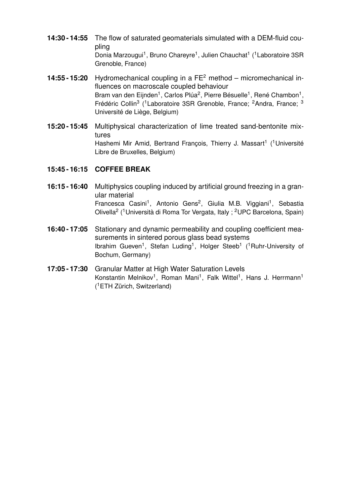- **14:30 14:55** The flow of saturated geomaterials simulated with a DEM-fluid coupling Donia Marzougui<sup>1</sup>, Bruno Chareyre<sup>1</sup>, Julien Chauchat<sup>1</sup> (<sup>1</sup> Laboratoire 3SR Grenoble, France)
- **14:55 15:20** Hydromechanical coupling in a FE<sup>2</sup> method micromechanical influences on macroscale coupled behaviour Bram van den Eijnden<sup>1</sup>, Carlos Plúa<sup>2</sup>, Pierre Bésuelle<sup>1</sup>, René Chambon<sup>1</sup>, Frédéric Collin<sup>3</sup> (<sup>1</sup> Laboratoire 3SR Grenoble, France; <sup>2</sup> Andra, France; <sup>3</sup> Université de Liège, Belgium)
- **15:20 15:45** Multiphysical characterization of lime treated sand-bentonite mixtures Hashemi Mir Amid, Bertrand François, Thierry J. Massart<sup>1</sup> (<sup>1</sup>Université Libre de Bruxelles, Belgium)

#### **15:45 - 16:15 COFFEE BREAK**

- **16:15 16:40** Multiphysics coupling induced by artificial ground freezing in a granular material Francesca Casini<sup>1</sup>, Antonio Gens<sup>2</sup>, Giulia M.B. Viggiani<sup>1</sup>, Sebastia Olivella<sup>2</sup> (<sup>1</sup>Università di Roma Tor Vergata, Italy ; <sup>2</sup>UPC Barcelona, Spain)
- **16:40 17:05** Stationary and dynamic permeability and coupling coefficient measurements in sintered porous glass bead systems Ibrahim Gueven<sup>1</sup>, Stefan Luding<sup>1</sup>, Holger Steeb<sup>1</sup> (<sup>1</sup>Ruhr-University of Bochum, Germany)
- **17:05 17:30** Granular Matter at High Water Saturation Levels Konstantin Melnikov<sup>1</sup>, Roman Mani<sup>1</sup>, Falk Wittel<sup>1</sup>, Hans J. Herrmann<sup>1</sup> ( <sup>1</sup>ETH Zürich, Switzerland)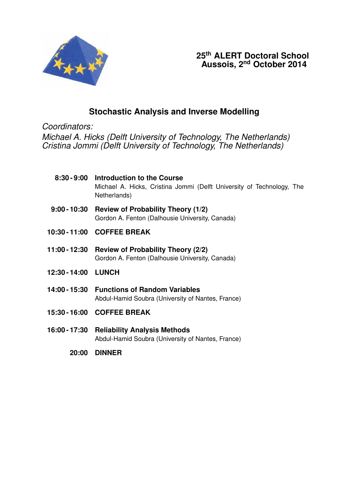

# **Stochastic Analysis and Inverse Modelling**

*Coordinators:*

*Michael A. Hicks (Delft University of Technology, The Netherlands) Cristina Jommi (Delft University of Technology, The Netherlands)*

- **8:30 9:00 Introduction to the Course** Michael A. Hicks, Cristina Jommi (Delft University of Technology, The Netherlands)
- **9:00 10:30 Review of Probability Theory (1/2)** Gordon A. Fenton (Dalhousie University, Canada)
- **10:30 11:00 COFFEE BREAK**
- **11:00 12:30 Review of Probability Theory (2/2)** Gordon A. Fenton (Dalhousie University, Canada)
- **12:30 14:00 LUNCH**
- **14:00 15:30 Functions of Random Variables** Abdul-Hamid Soubra (University of Nantes, France)
- **15:30 16:00 COFFEE BREAK**
- **16:00 17:30 Reliability Analysis Methods** Abdul-Hamid Soubra (University of Nantes, France)
	- **20:00 DINNER**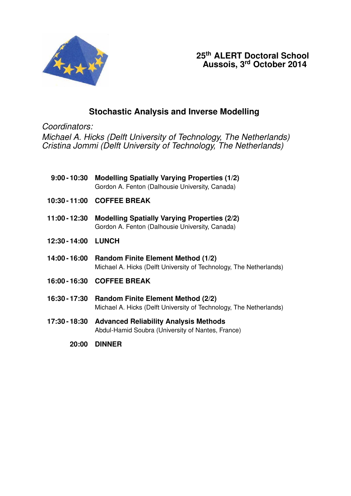

**25th ALERT Doctoral School Aussois, 3rd October 2014**

# **Stochastic Analysis and Inverse Modelling**

*Coordinators:*

*Michael A. Hicks (Delft University of Technology, The Netherlands) Cristina Jommi (Delft University of Technology, The Netherlands)*

|                     | 9:00 - 10:30 Modelling Spatially Varying Properties (1/2)<br>Gordon A. Fenton (Dalhousie University, Canada)    |
|---------------------|-----------------------------------------------------------------------------------------------------------------|
|                     | 10:30 - 11:00 COFFEE BREAK                                                                                      |
| 11:00 - 12:30       | <b>Modelling Spatially Varying Properties (2/2)</b><br>Gordon A. Fenton (Dalhousie University, Canada)          |
| 12:30 - 14:00 LUNCH |                                                                                                                 |
| 14:00 - 16:00       | <b>Random Finite Element Method (1/2)</b><br>Michael A. Hicks (Delft University of Technology, The Netherlands) |
|                     | 16:00 - 16:30 COFFEE BREAK                                                                                      |
| 16:30 - 17:30       | <b>Random Finite Element Method (2/2)</b><br>Michael A. Hicks (Delft University of Technology, The Netherlands) |
|                     | 17:30 - 18:30 Advanced Reliability Analysis Methods<br>Abdul-Hamid Soubra (University of Nantes, France)        |

**20:00 DINNER**